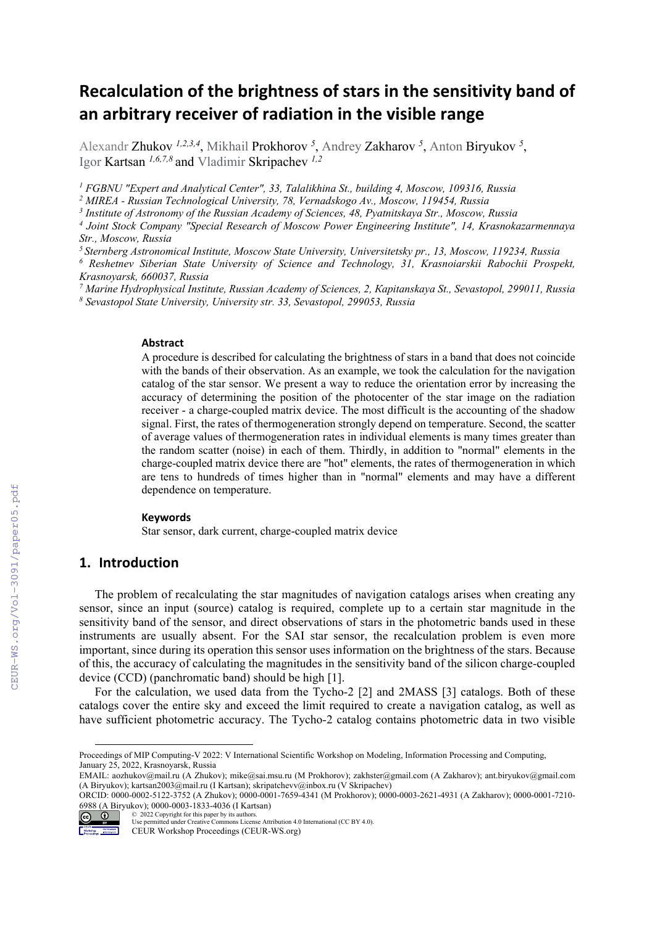# **Recalculation of the brightness of stars in the sensitivity band of an arbitrary receiver of radiation in the visible range**

Alexandr Zhukov <sup>1,2,3,4</sup>, Mikhail Prokhorov <sup>5</sup>, Andrey Zakharov <sup>5</sup>, Anton Biryukov <sup>5</sup>, Igor Kartsan *1,6,7,8* and Vladimir Skripachev *1,2*

<sup>1</sup> FGBNU "Expert and Analytical Center", 33, Talalikhina St., building 4, Moscow, 109316, Russia

*2 MIREA - Russian Technological University, 78, Vernadskogo Av., Moscow, 119454, Russia* 

*3 Institute of Astronomy of the Russian Academy of Sciences, 48, Pyatnitskaya Str., Moscow, Russia* 

*4 Joint Stock Company "Special Research of Moscow Power Engineering Institute", 14, Krasnokazarmennaya Str., Moscow, Russia* 

*5 Sternberg Astronomical Institute, Moscow State University, Universitetsky pr., 13, Moscow, 119234, Russia 6*

 *Reshetnev Siberian State University of Science and Technology, 31, Krasnoiarskii Rabochii Prospekt, Krasnoyarsk, 660037, Russia* 

<sup>7</sup> Marine Hydrophysical Institute, Russian Academy of Sciences, 2, Kapitanskaya St., Sevastopol, 299011, Russia<br><sup>8</sup> Savastopol State University, University str. 33, Sevastopol, 200053, Russia  *Sevastopol State University, University str. 33, Sevastopol, 299053, Russia* 

#### **Abstract**

A procedure is described for calculating the brightness of stars in a band that does not coincide with the bands of their observation. As an example, we took the calculation for the navigation catalog of the star sensor. We present a way to reduce the orientation error by increasing the accuracy of determining the position of the photocenter of the star image on the radiation receiver - a charge-coupled matrix device. The most difficult is the accounting of the shadow signal. First, the rates of thermogeneration strongly depend on temperature. Second, the scatter of average values of thermogeneration rates in individual elements is many times greater than the random scatter (noise) in each of them. Thirdly, in addition to "normal" elements in the charge-coupled matrix device there are "hot" elements, the rates of thermogeneration in which are tens to hundreds of times higher than in "normal" elements and may have a different dependence on temperature.

#### **Keywords 1**

Star sensor, dark current, charge-coupled matrix device

# **1. Introduction**

The problem of recalculating the star magnitudes of navigation catalogs arises when creating any sensor, since an input (source) catalog is required, complete up to a certain star magnitude in the sensitivity band of the sensor, and direct observations of stars in the photometric bands used in these instruments are usually absent. For the SAI star sensor, the recalculation problem is even more important, since during its operation this sensor uses information on the brightness of the stars. Because of this, the accuracy of calculating the magnitudes in the sensitivity band of the silicon charge-coupled device (CCD) (panchromatic band) should be high [1].

For the calculation, we used data from the Tycho-2 [2] and 2MASS [3] catalogs. Both of these catalogs cover the entire sky and exceed the limit required to create a navigation catalog, as well as have sufficient photometric accuracy. The Tycho-2 catalog contains photometric data in two visible

ORCID: 0000-0002-5122-3752 (A Zhukov); 0000-0001-7659-4341 (M Prokhorov); 0000-0003-2621-4931 (A Zakharov); 0000-0001-7210- 6988 (A Biryukov); 0000-0003-1833-4036 (I Kartsan)



<sup>© 2022</sup> Copyright for this paper by its authors. Use permitted under Creative Commons License Attribution 4.0 International (CC BY 4.0). CEUR Workshop Proceedings (CEUR-WS.org)

Proceedings of MIP Computing-V 2022: V International Scientific Workshop on Modeling, Information Processing and Computing, January 25, 2022, Krasnoyarsk, Russia

EMAIL: aozhukov@mail.ru (A Zhukov); mike@sai.msu.ru (M Prokhorov); zakhster@gmail.com (A Zakharov); ant.biryukov@gmail.com (A Biryukov); kartsan2003@mail.ru (I Kartsan); skripatchevv@inbox.ru (V Skripachev)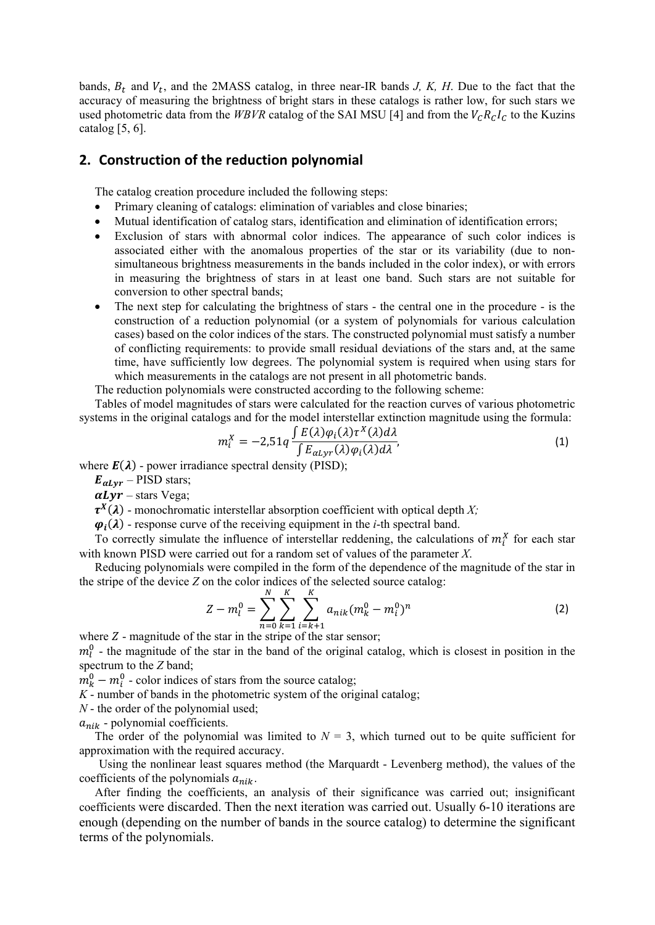bands,  $B_t$  and  $V_t$ , and the 2MASS catalog, in three near-IR bands *J, K, H*. Due to the fact that the accuracy of measuring the brightness of bright stars in these catalogs is rather low, for such stars we used photometric data from the *WBVR* catalog of the SAI MSU [4] and from the  $V_c R_c I_c$  to the Kuzins catalog  $[5, 6]$ .

## **2. Construction of the reduction polynomial**

The catalog creation procedure included the following steps:

- Primary cleaning of catalogs: elimination of variables and close binaries;
- Mutual identification of catalog stars, identification and elimination of identification errors;
- Exclusion of stars with abnormal color indices. The appearance of such color indices is associated either with the anomalous properties of the star or its variability (due to nonsimultaneous brightness measurements in the bands included in the color index), or with errors in measuring the brightness of stars in at least one band. Such stars are not suitable for conversion to other spectral bands;
- The next step for calculating the brightness of stars the central one in the procedure is the construction of a reduction polynomial (or a system of polynomials for various calculation cases) based on the color indices of the stars. The constructed polynomial must satisfy a number of conflicting requirements: to provide small residual deviations of the stars and, at the same time, have sufficiently low degrees. The polynomial system is required when using stars for which measurements in the catalogs are not present in all photometric bands.

The reduction polynomials were constructed according to the following scheme:

Tables of model magnitudes of stars were calculated for the reaction curves of various photometric systems in the original catalogs and for the model interstellar extinction magnitude using the formula:

$$
m_i^X = -2.51q \frac{\int E(\lambda)\varphi_i(\lambda)\tau^X(\lambda)d\lambda}{\int E_{\alpha Lyr}(\lambda)\varphi_i(\lambda)d\lambda},\tag{1}
$$

where  $E(\lambda)$  - power irradiance spectral density (PISD);

 $E_{\alpha Lyr}$  – PISD stars;

 $\alpha Lvr$  – stars Vega;

 $\tau^X(\lambda)$  - monochromatic interstellar absorption coefficient with optical depth *X*;

 $\varphi_i(\lambda)$  - response curve of the receiving equipment in the *i*-th spectral band.

To correctly simulate the influence of interstellar reddening, the calculations of  $m_i^X$  for each star with known PISD were carried out for a random set of values of the parameter *X*.

Reducing polynomials were compiled in the form of the dependence of the magnitude of the star in the stripe of the device *Z* on the color indices of the selected source catalog:

$$
Z - m_l^0 = \sum_{n=0}^N \sum_{k=1}^K \sum_{\substack{i=k+1 \ i \neq k}}^K a_{nik} (m_k^0 - m_i^0)^n
$$
 (2)

where  $Z$  - magnitude of the star in the stripe of the star sensor;

 $m_l^0$  - the magnitude of the star in the band of the original catalog, which is closest in position in the spectrum to the *Z* band;

 $m_k^0 - m_i^0$  - color indices of stars from the source catalog;

*K* - number of bands in the photometric system of the original catalog;

*N* - the order of the polynomial used;

 $a_{nik}$  - polynomial coefficients.

The order of the polynomial was limited to  $N = 3$ , which turned out to be quite sufficient for approximation with the required accuracy.

Using the nonlinear least squares method (the Marquardt - Levenberg method), the values of the coefficients of the polynomials  $a_{nik}$ .

After finding the coefficients, an analysis of their significance was carried out; insignificant coefficients were discarded. Then the next iteration was carried out. Usually 6-10 iterations are enough (depending on the number of bands in the source catalog) to determine the significant terms of the polynomials.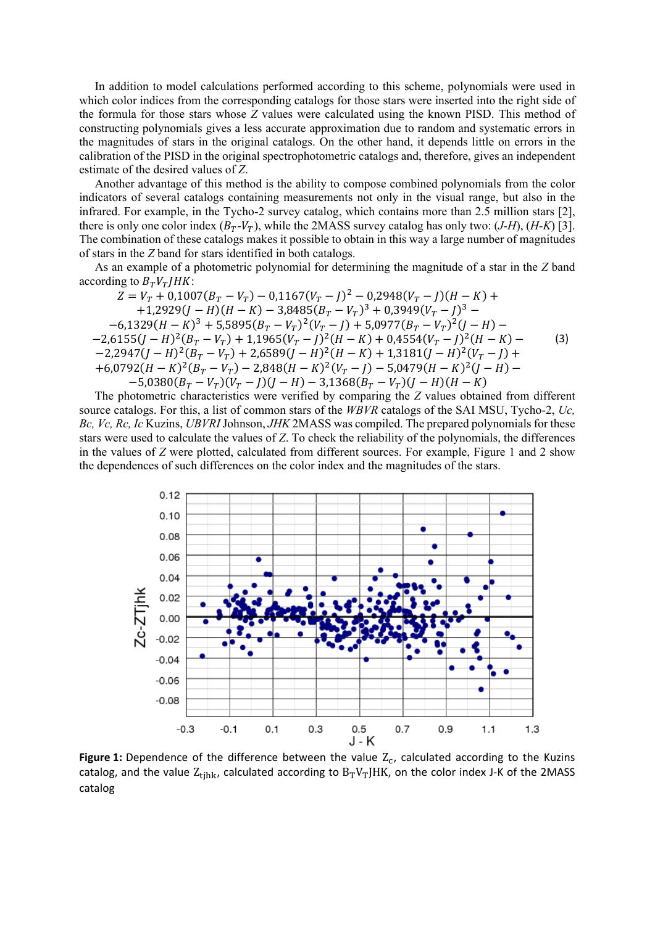In addition to model calculations performed according to this scheme, polynomials were used in which color indices from the corresponding catalogs for those stars were inserted into the right side of the formula for those stars whose Z values were calculated using the known PISD. This method of constructing polynomials gives a less accurate approximation due to random and systematic errors in the magnitudes of stars in the original catalogs. On the other hand, it depends little on errors in the calibration of the PISD in the original spectrophotometric catalogs and, therefore, gives an independent estimate of the desired values of Z.

Another advantage of this method is the ability to compose combined polynomials from the color indicators of several catalogs containing measurements not only in the visual range, but also in the infrared. For example, in the Tycho-2 survey catalog, which contains more than 2.5 million stars [2], there is only one color index  $(B_T - V_T)$ , while the 2MASS survey catalog has only two: (*J-H*), (*H-K*) [3]. The combination of these catalogs makes it possible to obtain in this way a large number of magnitudes of stars in the Z band for stars identified in both catalogs.

As an example of a photometric polynomial for determining the magnitude of a star in the Z band according to  $B_T V_T/HK$ :

 $Z = V_T + 0.1007(B_T - V_T) - 0.1167(V_T - J)^2 - 0.2948(V_T - J)(H - K) +$ +1,2929( $J - H$ )( $H - K$ ) - 3,8485( $B_T - V_T$ )<sup>3</sup> + 0,3949( $V_T - J$ )<sup>3</sup> - $-6,1329(H-K)^3 + 5,5895(B_T - V_T)^2(V_T - J) + 5,0977(B_T - V_T)^2(J-H) -$ <br>  $-2,6155(J-H)^2(B_T - V_T) + 1,1965(V_T - J)^2(H - K) + 0,4554(V_T - J)^2(H - K) -$ <br>  $-2,2947(J-H)^2(B_T - V_T) + 2,6589(J-H)^2(H - K) + 1,3181(J-H)^2(V_T - J) +$  $(3)$ +6,0792( $H - K$ )<sup>2</sup>( $B_T - V_T$ ) - 2,848( $H - K$ )<sup>2</sup>( $V_T - J$ ) - 5,0479( $H - K$ )<sup>2</sup>( $J - H$ ) -<br>-5,0380( $B_T - V_T$ )( $V_T - J$ )( $J - H$ ) - 3,1368( $B_T - V_T$ )( $J - H$ )( $H - K$ )

The photometric characteristics were verified by comparing the Z values obtained from different source catalogs. For this, a list of common stars of the WBVR catalogs of the SAI MSU, Tycho-2, Uc, Bc, Vc, Rc, Ic Kuzins, UBVRI Johnson, JHK 2MASS was compiled. The prepared polynomials for these stars were used to calculate the values of Z. To check the reliability of the polynomials, the differences in the values of Z were plotted, calculated from different sources. For example, Figure 1 and 2 show the dependences of such differences on the color index and the magnitudes of the stars.



Figure 1: Dependence of the difference between the value  $Z_c$ , calculated according to the Kuzins catalog, and the value  $Z_{tihk}$ , calculated according to  $B_TV_TJHK$ , on the color index J-K of the 2MASS catalog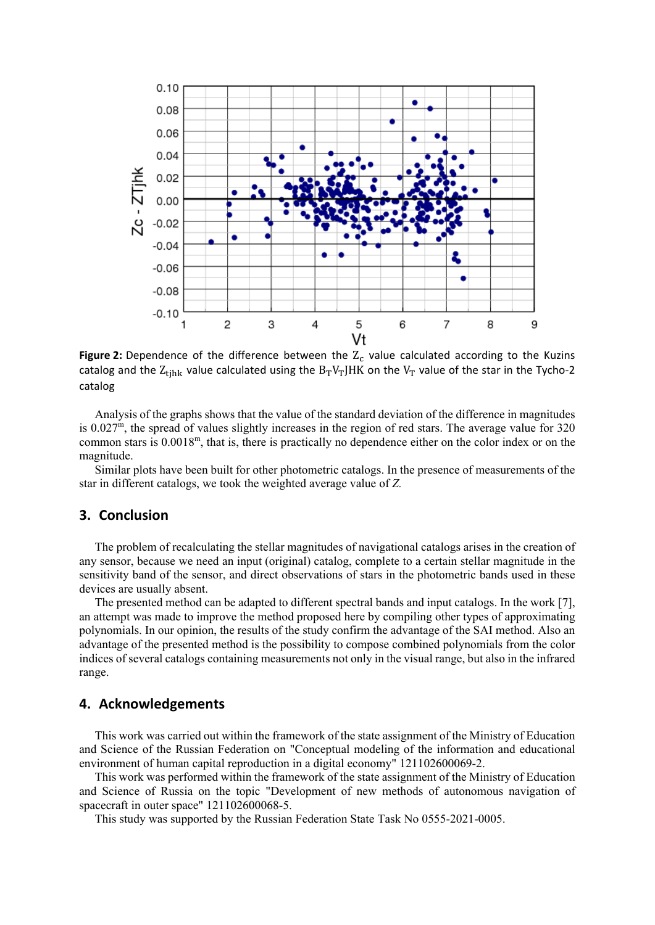

**Figure 2:** Dependence of the difference between the  $Z_c$  value calculated according to the Kuzins catalog and the  $Z_{\text{tjhk}}$  value calculated using the  $B_TV_TJHK$  on the  $V_T$  value of the star in the Tycho-2 catalog

Analysis of the graphs shows that the value of the standard deviation of the difference in magnitudes is 0.027m, the spread of values slightly increases in the region of red stars. The average value for 320 common stars is 0.0018m, that is, there is practically no dependence either on the color index or on the magnitude.

Similar plots have been built for other photometric catalogs. In the presence of measurements of the star in different catalogs, we took the weighted average value of *Z.*

### **3. Conclusion**

The problem of recalculating the stellar magnitudes of navigational catalogs arises in the creation of any sensor, because we need an input (original) catalog, complete to a certain stellar magnitude in the sensitivity band of the sensor, and direct observations of stars in the photometric bands used in these devices are usually absent.

The presented method can be adapted to different spectral bands and input catalogs. In the work [7], an attempt was made to improve the method proposed here by compiling other types of approximating polynomials. In our opinion, the results of the study confirm the advantage of the SAI method. Also an advantage of the presented method is the possibility to compose combined polynomials from the color indices of several catalogs containing measurements not only in the visual range, but also in the infrared range.

## **4. Acknowledgements**

This work was carried out within the framework of the state assignment of the Ministry of Education and Science of the Russian Federation on "Conceptual modeling of the information and educational environment of human capital reproduction in a digital economy" 121102600069-2.

This work was performed within the framework of the state assignment of the Ministry of Education and Science of Russia on the topic "Development of new methods of autonomous navigation of spacecraft in outer space" 121102600068-5.

This study was supported by the Russian Federation State Task No 0555-2021-0005.